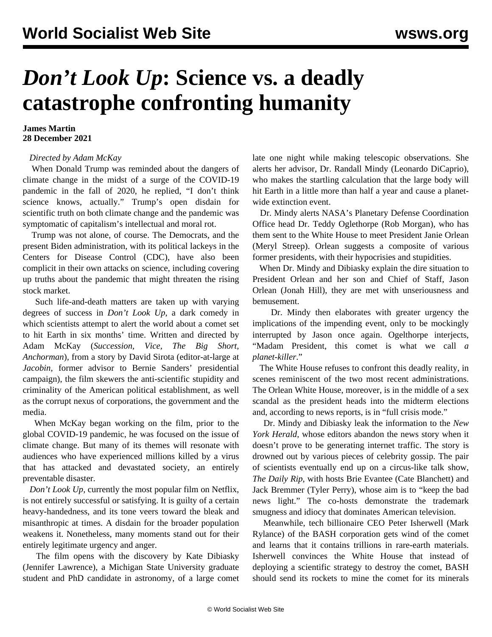## *Don't Look Up***: Science vs. a deadly catastrophe confronting humanity**

## **James Martin 28 December 2021**

## *Directed by Adam McKay*

 When Donald Trump was reminded about the dangers of climate change in the midst of a surge of the COVID-19 pandemic in the fall of 2020, he replied, "I don't think science knows, actually." Trump's open disdain for scientific truth on both climate change and the pandemic was symptomatic of capitalism's intellectual and moral rot.

 Trump was not alone, of course. The Democrats, and the present Biden administration, with its political lackeys in the Centers for Disease Control (CDC), have also been complicit in their own attacks on science, including covering up truths about the pandemic that might threaten the rising stock market.

 Such life-and-death matters are taken up with varying degrees of success in *Don't Look Up*, a dark comedy in which scientists attempt to alert the world about a comet set to hit Earth in six months' time. Written and directed by Adam McKay (*Succession, Vice, The Big Short, Anchorman*)*,* from a story by David Sirota (editor-at-large at *Jacobin,* former advisor to Bernie Sanders' presidential campaign), the film skewers the anti-scientific stupidity and criminality of the American political establishment, as well as the corrupt nexus of corporations, the government and the media.

 When McKay began working on the film, prior to the global COVID-19 pandemic, he was focused on the issue of climate change. But many of its themes will resonate with audiences who have experienced millions killed by a virus that has attacked and devastated society, an entirely preventable disaster.

 *Don't Look Up,* currently the most popular film on Netflix, is not entirely successful or satisfying. It is guilty of a certain heavy-handedness, and its tone veers toward the bleak and misanthropic at times. A disdain for the broader population weakens it. Nonetheless, many moments stand out for their entirely legitimate urgency and anger.

 The film opens with the discovery by Kate Dibiasky (Jennifer Lawrence), a Michigan State University graduate student and PhD candidate in astronomy, of a large comet late one night while making telescopic observations. She alerts her advisor, Dr. Randall Mindy (Leonardo DiCaprio), who makes the startling calculation that the large body will hit Earth in a little more than half a year and cause a planetwide extinction event.

 Dr. Mindy alerts NASA's Planetary Defense Coordination Office head Dr. Teddy Oglethorpe (Rob Morgan), who has them sent to the White House to meet President Janie Orlean (Meryl Streep). Orlean suggests a composite of various former presidents, with their hypocrisies and stupidities.

 When Dr. Mindy and Dibiasky explain the dire situation to President Orlean and her son and Chief of Staff, Jason Orlean (Jonah Hill), they are met with unseriousness and bemusement.

 Dr. Mindy then elaborates with greater urgency the implications of the impending event, only to be mockingly interrupted by Jason once again. Ogelthorpe interjects, "Madam President, this comet is what we call *a planet-killer*."

 The White House refuses to confront this deadly reality, in scenes reminiscent of the two most recent administrations. The Orlean White House, moreover, is in the middle of a sex scandal as the president heads into the midterm elections and, according to news reports, is in "full crisis mode."

 Dr. Mindy and Dibiasky leak the information to the *New York Herald*, whose editors abandon the news story when it doesn't prove to be generating internet traffic. The story is drowned out by various pieces of celebrity gossip. The pair of scientists eventually end up on a circus-like talk show, *The Daily Rip*, with hosts Brie Evantee (Cate Blanchett) and Jack Bremmer (Tyler Perry), whose aim is to "keep the bad news light." The co-hosts demonstrate the trademark smugness and idiocy that dominates American television.

 Meanwhile, tech billionaire CEO Peter Isherwell (Mark Rylance) of the BASH corporation gets wind of the comet and learns that it contains trillions in rare-earth materials. Isherwell convinces the White House that instead of deploying a scientific strategy to destroy the comet, BASH should send its rockets to mine the comet for its minerals